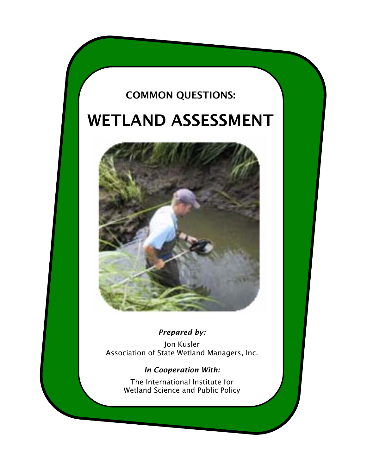# COMMON QUESTIONS:

# WETLAND ASSESSMENT



# *Prepared by:*

Jon Kusler Association of State Wetland Managers, Inc.

# *In Cooperation With:*

The International Institute for Wetland Science and Public Policy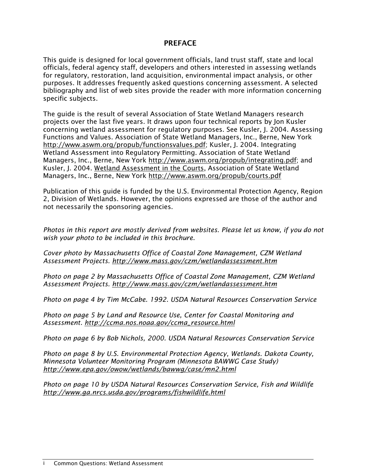# **PREFACE**

This guide is designed for local government officials, land trust staff, state and local officials, federal agency staff, developers and others interested in assessing wetlands for regulatory, restoration, land acquisition, environmental impact analysis, or other purposes. It addresses frequently asked questions concerning assessment. A selected bibliography and list of web sites provide the reader with more information concerning specific subjects.

The guide is the result of several Association of State Wetland Managers research projects over the last five years. It draws upon four technical reports by Jon Kusler concerning wetland assessment for regulatory purposes. See Kusler, J. 2004. Assessing Functions and Values. Association of State Wetland Managers, Inc., Berne, New York http://www.aswm.org/propub/functionsvalues.pdf; Kusler, J. 2004. Integrating Wetland Assessment into Regulatory Permitting. Association of State Wetland Managers, Inc., Berne, New York http://www.aswm.org/propub/integrating.pdf; and Kusler, J. 2004. Wetland Assessment in the Courts, Association of State Wetland Managers, Inc., Berne, New York http://www.aswm.org/propub/courts.pdf

Publication of this guide is funded by the U.S. Environmental Protection Agency, Region 2, Division of Wetlands. However, the opinions expressed are those of the author and not necessarily the sponsoring agencies.

*Photos in this report are mostly derived from websites. Please let us know, if you do not wish your photo to be included in this brochure.* 

*Cover photo by Massachusetts Office of Coastal Zone Management, CZM Wetland Assessment Projects. http://www.mass.gov/czm/wetlandassessment.htm* 

*Photo on page 2 by Massachusetts Office of Coastal Zone Management, CZM Wetland Assessment Projects. http://www.mass.gov/czm/wetlandassessment.htm* 

*Photo on page 4 by Tim McCabe. 1992. USDA Natural Resources Conservation Service* 

*Photo on page 5 by Land and Resource Use, Center for Coastal Monitoring and Assessment. http://ccma.nos.noaa.gov/ccma\_resource.html* 

*Photo on page 6 by Bob Nichols, 2000. USDA Natural Resources Conservation Service* 

*Photo on page 8 by U.S. Environmental Protection Agency, Wetlands. Dakota County, Minnesota Volunteer Monitoring Program (Minnesota BAWWG Case Study) http://www.epa.gov/owow/wetlands/bawwg/case/mn2.html* 

*Photo on page 10 by USDA Natural Resources Conservation Service, Fish and Wildlife http://www.ga.nrcs.usda.gov/programs/fishwildlife.html*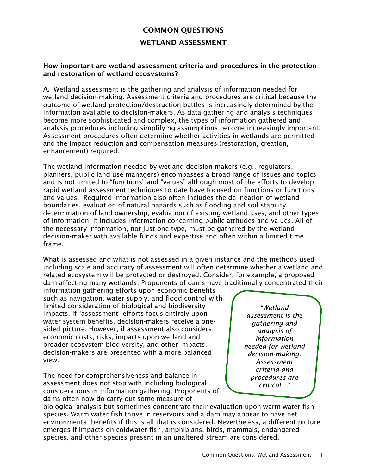# COMMON QUESTIONS WETLAND ASSESSMENT

#### How important are wetland assessment criteria and procedures in the protection and restoration of wetland ecosystems?

A. Wetland assessment is the gathering and analysis of information needed for wetland decision-making. Assessment criteria and procedures are critical because the outcome of wetland protection/destruction battles is increasingly determined by the information available to decision-makers. As data gathering and analysis techniques become more sophisticated and complex, the types of information gathered and analysis procedures including simplifying assumptions become increasingly important. Assessment procedures often determine whether activities in wetlands are permitted and the impact reduction and compensation measures (restoration, creation, enhancement) required.

The wetland information needed by wetland decision-makers (e.g., regulators, planners, public land use managers) encompasses a broad range of issues and topics and is not limited to "functions" and "values" although most of the efforts to develop rapid wetland assessment techniques to date have focused on functions or functions and values. Required information also often includes the delineation of wetland boundaries, evaluation of natural hazards such as flooding and soil stability, determination of land ownership, evaluation of existing wetland uses, and other types of information. It includes information concerning public attitudes and values. All of the necessary information, not just one type, must be gathered by the wetland decision-maker with available funds and expertise and often within a limited time frame.

What is assessed and what is not assessed in a given instance and the methods used including scale and accuracy of assessment will often determine whether a wetland and related ecosystem will be protected or destroyed. Consider, for example, a proposed dam affecting many wetlands. Proponents of dams have traditionally concentrated their

information gathering efforts upon economic benefits such as navigation, water supply, and flood control with limited consideration of biological and biodiversity impacts. If "assessment" efforts focus entirely upon water system benefits, decision-makers receive a onesided picture. However, if assessment also considers economic costs, risks, impacts upon wetland and broader ecosystem biodiversity, and other impacts, decision-makers are presented with a more balanced view.

The need for comprehensiveness and balance in assessment does not stop with including biological considerations in information gathering. Proponents of dams often now do carry out some measure of

*"Wetland assessment is the gathering and analysis of information needed for wetland decision-making. Assessment criteria and procedures are critical…"* 

biological analysis but sometimes concentrate their evaluation upon warm water fish species. Warm water fish thrive in reservoirs and a dam may appear to have net environmental benefits if this is all that is considered. Nevertheless, a different picture emerges if impacts on coldwater fish, amphibians, birds, mammals, endangered species, and other species present in an unaltered stream are considered.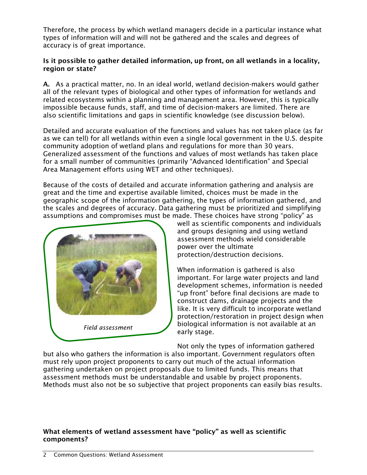Therefore, the process by which wetland managers decide in a particular instance what types of information will and will not be gathered and the scales and degrees of accuracy is of great importance.

#### Is it possible to gather detailed information, up front, on all wetlands in a locality, region or state?

A. As a practical matter, no. In an ideal world, wetland decision-makers would gather all of the relevant types of biological and other types of information for wetlands and related ecosystems within a planning and management area. However, this is typically impossible because funds, staff, and time of decision-makers are limited. There are also scientific limitations and gaps in scientific knowledge (see discussion below).

Detailed and accurate evaluation of the functions and values has not taken place (as far as we can tell) for all wetlands within even a single local government in the U.S. despite community adoption of wetland plans and regulations for more than 30 years. Generalized assessment of the functions and values of most wetlands has taken place for a small number of communities (primarily "Advanced Identification" and Special Area Management efforts using WET and other techniques).

Because of the costs of detailed and accurate information gathering and analysis are great and the time and expertise available limited, choices must be made in the geographic scope of the information gathering, the types of information gathered, and the scales and degrees of accuracy. Data gathering must be prioritized and simplifying assumptions and compromises must be made. These choices have strong "policy" as



well as scientific components and individuals and groups designing and using wetland assessment methods wield considerable power over the ultimate protection/destruction decisions.

When information is gathered is also important. For large water projects and land development schemes, information is needed "up front" before final decisions are made to construct dams, drainage projects and the like. It is very difficult to incorporate wetland protection/restoration in project design when biological information is not available at an early stage.

Not only the types of information gathered but also who gathers the information is also important. Government regulators often must rely upon project proponents to carry out much of the actual information gathering undertaken on project proposals due to limited funds. This means that assessment methods must be understandable and usable by project proponents. Methods must also not be so subjective that project proponents can easily bias results.

# What elements of wetland assessment have "policy" as well as scientific components?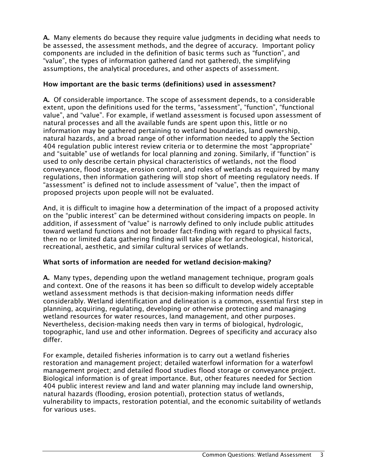A. Many elements do because they require value judgments in deciding what needs to be assessed, the assessment methods, and the degree of accuracy. Important policy components are included in the definition of basic terms such as "function", and "value", the types of information gathered (and not gathered), the simplifying assumptions, the analytical procedures, and other aspects of assessment.

#### How important are the basic terms (definitions) used in assessment?

A. Of considerable importance. The scope of assessment depends, to a considerable extent, upon the definitions used for the terms, "assessment", "function", "functional value", and "value". For example, if wetland assessment is focused upon assessment of natural processes and all the available funds are spent upon this, little or no information may be gathered pertaining to wetland boundaries, land ownership, natural hazards, and a broad range of other information needed to apply the Section 404 regulation public interest review criteria or to determine the most "appropriate" and "suitable" use of wetlands for local planning and zoning. Similarly, if "function" is used to only describe certain physical characteristics of wetlands, not the flood conveyance, flood storage, erosion control, and roles of wetlands as required by many regulations, then information gathering will stop short of meeting regulatory needs. If "assessment" is defined not to include assessment of "value", then the impact of proposed projects upon people will not be evaluated.

And, it is difficult to imagine how a determination of the impact of a proposed activity on the "public interest" can be determined without considering impacts on people. In addition, if assessment of "value" is narrowly defined to only include public attitudes toward wetland functions and not broader fact-finding with regard to physical facts, then no or limited data gathering finding will take place for archeological, historical, recreational, aesthetic, and similar cultural services of wetlands.

# What sorts of information are needed for wetland decision-making?

A. Many types, depending upon the wetland management technique, program goals and context. One of the reasons it has been so difficult to develop widely acceptable wetland assessment methods is that decision-making information needs differ considerably. Wetland identification and delineation is a common, essential first step in planning, acquiring, regulating, developing or otherwise protecting and managing wetland resources for water resources, land management, and other purposes. Nevertheless, decision-making needs then vary in terms of biological, hydrologic, topographic, land use and other information. Degrees of specificity and accuracy also differ.

For example, detailed fisheries information is to carry out a wetland fisheries restoration and management project; detailed waterfowl information for a waterfowl management project; and detailed flood studies flood storage or conveyance project. Biological information is of great importance. But, other features needed for Section 404 public interest review and land and water planning may include land ownership, natural hazards (flooding, erosion potential), protection status of wetlands, vulnerability to impacts, restoration potential, and the economic suitability of wetlands for various uses.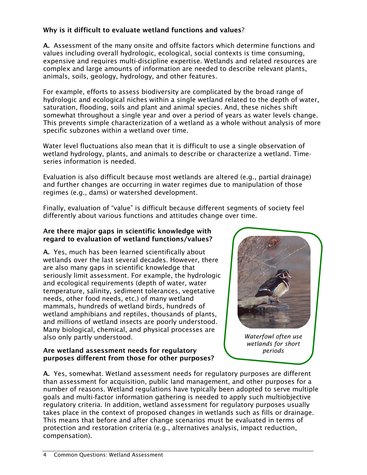# Why is it difficult to evaluate wetland functions and values?

A. Assessment of the many onsite and offsite factors which determine functions and values including overall hydrologic, ecological, social contexts is time consuming, expensive and requires multi-discipline expertise. Wetlands and related resources are complex and large amounts of information are needed to describe relevant plants, animals, soils, geology, hydrology, and other features.

For example, efforts to assess biodiversity are complicated by the broad range of hydrologic and ecological niches within a single wetland related to the depth of water, saturation, flooding, soils and plant and animal species. And, these niches shift somewhat throughout a single year and over a period of years as water levels change. This prevents simple characterization of a wetland as a whole without analysis of more specific subzones within a wetland over time.

Water level fluctuations also mean that it is difficult to use a single observation of wetland hydrology, plants, and animals to describe or characterize a wetland. Timeseries information is needed.

Evaluation is also difficult because most wetlands are altered (e.g., partial drainage) and further changes are occurring in water regimes due to manipulation of those regimes (e.g., dams) or watershed development.

Finally, evaluation of "value" is difficult because different segments of society feel differently about various functions and attitudes change over time.

### Are there major gaps in scientific knowledge with regard to evaluation of wetland functions/values?

A. Yes, much has been learned scientifically about wetlands over the last several decades. However, there are also many gaps in scientific knowledge that seriously limit assessment. For example, the hydrologic and ecological requirements (depth of water, water temperature, salinity, sediment tolerances, vegetative needs, other food needs, etc.) of many wetland mammals, hundreds of wetland birds, hundreds of wetland amphibians and reptiles, thousands of plants, and millions of wetland insects are poorly understood. Many biological, chemical, and physical processes are also only partly understood.

#### Are wetland assessment needs for regulatory purposes different from those for other purposes?



*Waterfowl often use wetlands for short periods* 

A. Yes, somewhat. Wetland assessment needs for regulatory purposes are different than assessment for acquisition, public land management, and other purposes for a number of reasons. Wetland regulations have typically been adopted to serve multiple goals and multi-factor information gathering is needed to apply such multiobjective regulatory criteria. In addition, wetland assessment for regulatory purposes usually takes place in the context of proposed changes in wetlands such as fills or drainage. This means that before and after change scenarios must be evaluated in terms of protection and restoration criteria (e.g., alternatives analysis, impact reduction, compensation).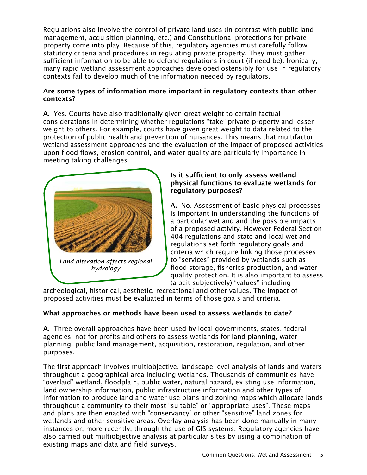Regulations also involve the control of private land uses (in contrast with public land management, acquisition planning, etc.) and Constitutional protections for private property come into play. Because of this, regulatory agencies must carefully follow statutory criteria and procedures in regulating private property. They must gather sufficient information to be able to defend regulations in court (if need be). Ironically, many rapid wetland assessment approaches developed ostensibly for use in regulatory contexts fail to develop much of the information needed by regulators.

#### Are some types of information more important in regulatory contexts than other contexts?

A. Yes. Courts have also traditionally given great weight to certain factual considerations in determining whether regulations "take" private property and lesser weight to others. For example, courts have given great weight to data related to the protection of public health and prevention of nuisances. This means that multifactor wetland assessment approaches and the evaluation of the impact of proposed activities upon flood flows, erosion control, and water quality are particularly importance in meeting taking challenges.



### Is it sufficient to only assess wetland physical functions to evaluate wetlands for regulatory purposes?

A. No. Assessment of basic physical processes is important in understanding the functions of a particular wetland and the possible impacts of a proposed activity. However Federal Section 404 regulations and state and local wetland regulations set forth regulatory goals and criteria which require linking those processes to "services" provided by wetlands such as flood storage, fisheries production, and water quality protection. It is also important to assess (albeit subjectively) "values" including

archeological, historical, aesthetic, recreational and other values. The impact of proposed activities must be evaluated in terms of those goals and criteria.

# What approaches or methods have been used to assess wetlands to date?

A. Three overall approaches have been used by local governments, states, federal agencies, not for profits and others to assess wetlands for land planning, water planning, public land management, acquisition, restoration, regulation, and other purposes.

The first approach involves multiobjective, landscape level analysis of lands and waters throughout a geographical area including wetlands. Thousands of communities have "overlaid" wetland, floodplain, public water, natural hazard, existing use information, land ownership information, public infrastructure information and other types of information to produce land and water use plans and zoning maps which allocate lands throughout a community to their most "suitable" or "appropriate uses". These maps and plans are then enacted with "conservancy" or other "sensitive" land zones for wetlands and other sensitive areas. Overlay analysis has been done manually in many instances or, more recently, through the use of GIS systems. Regulatory agencies have also carried out multiobjective analysis at particular sites by using a combination of existing maps and data and field surveys.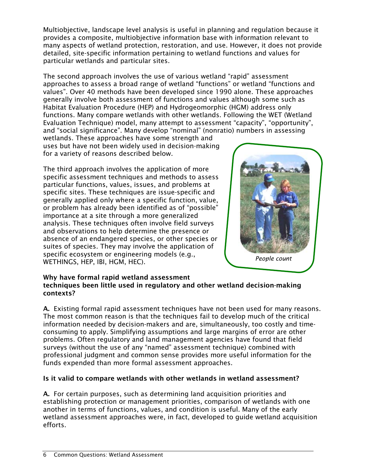Multiobjective, landscape level analysis is useful in planning and regulation because it provides a composite, multiobjective information base with information relevant to many aspects of wetland protection, restoration, and use. However, it does not provide detailed, site-specific information pertaining to wetland functions and values for particular wetlands and particular sites.

The second approach involves the use of various wetland "rapid" assessment approaches to assess a broad range of wetland "functions" or wetland "functions and values". Over 40 methods have been developed since 1990 alone. These approaches generally involve both assessment of functions and values although some such as Habitat Evaluation Procedure (HEP) and Hydrogeomorphic (HGM) address only functions. Many compare wetlands with other wetlands. Following the WET (Wetland Evaluation Technique) model, many attempt to assessment "capacity", "opportunity", and "social significance". Many develop "nominal" (nonratio) numbers in assessing

wetlands. These approaches have some strength and uses but have not been widely used in decision-making for a variety of reasons described below.

The third approach involves the application of more specific assessment techniques and methods to assess particular functions, values, issues, and problems at specific sites. These techniques are issue-specific and generally applied only where a specific function, value, or problem has already been identified as of "possible" importance at a site through a more generalized analysis. These techniques often involve field surveys and observations to help determine the presence or absence of an endangered species, or other species or suites of species. They may involve the application of specific ecosystem or engineering models (e.g., WETHINGS, HEP, IBI, HGM, HEC).



#### Why have formal rapid wetland assessment techniques been little used in regulatory and other wetland decision-making contexts?

A. Existing formal rapid assessment techniques have not been used for many reasons. The most common reason is that the techniques fail to develop much of the critical information needed by decision-makers and are, simultaneously, too costly and timeconsuming to apply. Simplifying assumptions and large margins of error are other problems. Often regulatory and land management agencies have found that field surveys (without the use of any "named" assessment technique) combined with professional judgment and common sense provides more useful information for the funds expended than more formal assessment approaches.

# Is it valid to compare wetlands with other wetlands in wetland assessment?

A. For certain purposes, such as determining land acquisition priorities and establishing protection or management priorities, comparison of wetlands with one another in terms of functions, values, and condition is useful. Many of the early wetland assessment approaches were, in fact, developed to guide wetland acquisition efforts.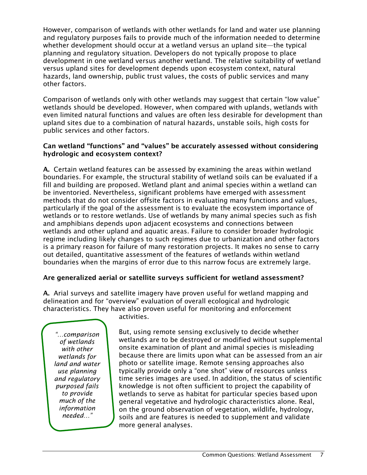However, comparison of wetlands with other wetlands for land and water use planning and regulatory purposes fails to provide much of the information needed to determine whether development should occur at a wetland versus an upland site—the typical planning and regulatory situation. Developers do not typically propose to place development in one wetland versus another wetland. The relative suitability of wetland versus upland sites for development depends upon ecosystem context, natural hazards, land ownership, public trust values, the costs of public services and many other factors.

Comparison of wetlands only with other wetlands may suggest that certain "low value" wetlands should be developed. However, when compared with uplands, wetlands with even limited natural functions and values are often less desirable for development than upland sites due to a combination of natural hazards, unstable soils, high costs for public services and other factors.

#### Can wetland "functions" and "values" be accurately assessed without considering hydrologic and ecosystem context?

A. Certain wetland features can be assessed by examining the areas within wetland boundaries. For example, the structural stability of wetland soils can be evaluated if a fill and building are proposed. Wetland plant and animal species within a wetland can be inventoried. Nevertheless, significant problems have emerged with assessment methods that do not consider offsite factors in evaluating many functions and values, particularly if the goal of the assessment is to evaluate the ecosystem importance of wetlands or to restore wetlands. Use of wetlands by many animal species such as fish and amphibians depends upon adjacent ecosystems and connections between wetlands and other upland and aquatic areas. Failure to consider broader hydrologic regime including likely changes to such regimes due to urbanization and other factors is a primary reason for failure of many restoration projects. It makes no sense to carry out detailed, quantitative assessment of the features of wetlands within wetland boundaries when the margins of error due to this narrow focus are extremely large.

# Are generalized aerial or satellite surveys sufficient for wetland assessment?

A. Arial surveys and satellite imagery have proven useful for wetland mapping and delineation and for "overview" evaluation of overall ecological and hydrologic characteristics. They have also proven useful for monitoring and enforcement

*"…comparison of wetlands with other wetlands for land and water use planning and regulatory purposed fails to provide much of the information needed…"* 

activities.

But, using remote sensing exclusively to decide whether wetlands are to be destroyed or modified without supplemental onsite examination of plant and animal species is misleading because there are limits upon what can be assessed from an air photo or satellite image. Remote sensing approaches also typically provide only a "one shot" view of resources unless time series images are used. In addition, the status of scientific knowledge is not often sufficient to project the capability of wetlands to serve as habitat for particular species based upon general vegetative and hydrologic characteristics alone. Real, on the ground observation of vegetation, wildlife, hydrology, soils and are features is needed to supplement and validate more general analyses.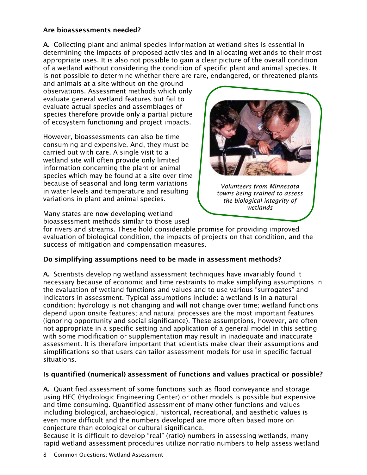# Are bioassessments needed?

A. Collecting plant and animal species information at wetland sites is essential in determining the impacts of proposed activities and in allocating wetlands to their most appropriate uses. It is also not possible to gain a clear picture of the overall condition of a wetland without considering the condition of specific plant and animal species. It is not possible to determine whether there are rare, endangered, or threatened plants

and animals at a site without on the ground observations. Assessment methods which only evaluate general wetland features but fail to evaluate actual species and assemblages of species therefore provide only a partial picture of ecosystem functioning and project impacts.

However, bioassessments can also be time consuming and expensive. And, they must be carried out with care. A single visit to a wetland site will often provide only limited information concerning the plant or animal species which may be found at a site over time because of seasonal and long term variations in water levels and temperature and resulting variations in plant and animal species.

Many states are now developing wetland bioassessment methods similar to those used



*Volunteers from Minnesota towns being trained to assess the biological integrity of wetlands*

for rivers and streams. These hold considerable promise for providing improved evaluation of biological condition, the impacts of projects on that condition, and the success of mitigation and compensation measures.

# Do simplifying assumptions need to be made in assessment methods?

A. Scientists developing wetland assessment techniques have invariably found it necessary because of economic and time restraints to make simplifying assumptions in the evaluation of wetland functions and values and to use various "surrogates" and indicators in assessment. Typical assumptions include: a wetland is in a natural condition; hydrology is not changing and will not change over time; wetland functions depend upon onsite features; and natural processes are the most important features (ignoring opportunity and social significance). These assumptions, however, are often not appropriate in a specific setting and application of a general model in this setting with some modification or supplementation may result in inadequate and inaccurate assessment. It is therefore important that scientists make clear their assumptions and simplifications so that users can tailor assessment models for use in specific factual situations.

# Is quantified (numerical) assessment of functions and values practical or possible?

A. Quantified assessment of some functions such as flood conveyance and storage using HEC (Hydrologic Engineering Center) or other models is possible but expensive and time consuming. Quantified assessment of many other functions and values including biological, archaeological, historical, recreational, and aesthetic values is even more difficult and the numbers developed are more often based more on conjecture than ecological or cultural significance.

Because it is difficult to develop "real" (ratio) numbers in assessing wetlands, many rapid wetland assessment procedures utilize nonratio numbers to help assess wetland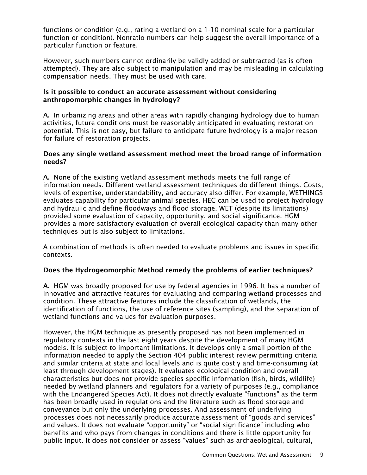functions or condition (e.g., rating a wetland on a 1-10 nominal scale for a particular function or condition). Nonratio numbers can help suggest the overall importance of a particular function or feature.

However, such numbers cannot ordinarily be validly added or subtracted (as is often attempted). They are also subject to manipulation and may be misleading in calculating compensation needs. They must be used with care.

#### Is it possible to conduct an accurate assessment without considering anthropomorphic changes in hydrology?

A. In urbanizing areas and other areas with rapidly changing hydrology due to human activities, future conditions must be reasonably anticipated in evaluating restoration potential. This is not easy, but failure to anticipate future hydrology is a major reason for failure of restoration projects.

#### Does any single wetland assessment method meet the broad range of information needs?

A. None of the existing wetland assessment methods meets the full range of information needs. Different wetland assessment techniques do different things. Costs, levels of expertise, understandability, and accuracy also differ. For example, WETHINGS evaluates capability for particular animal species. HEC can be used to project hydrology and hydraulic and define floodways and flood storage. WET (despite its limitations) provided some evaluation of capacity, opportunity, and social significance. HGM provides a more satisfactory evaluation of overall ecological capacity than many other techniques but is also subject to limitations.

A combination of methods is often needed to evaluate problems and issues in specific contexts.

# Does the Hydrogeomorphic Method remedy the problems of earlier techniques?

A. HGM was broadly proposed for use by federal agencies in 1996. It has a number of innovative and attractive features for evaluating and comparing wetland processes and condition. These attractive features include the classification of wetlands, the identification of functions, the use of reference sites (sampling), and the separation of wetland functions and values for evaluation purposes.

However, the HGM technique as presently proposed has not been implemented in regulatory contexts in the last eight years despite the development of many HGM models. It is subject to important limitations. It develops only a small portion of the information needed to apply the Section 404 public interest review permitting criteria and similar criteria at state and local levels and is quite costly and time-consuming (at least through development stages). It evaluates ecological condition and overall characteristics but does not provide species-specific information (fish, birds, wildlife) needed by wetland planners and regulators for a variety of purposes (e.g., compliance with the Endangered Species Act). It does not directly evaluate "functions" as the term has been broadly used in regulations and the literature such as flood storage and conveyance but only the underlying processes. And assessment of underlying processes does not necessarily produce accurate assessment of "goods and services" and values. It does not evaluate "opportunity" or "social significance" including who benefits and who pays from changes in conditions and there is little opportunity for public input. It does not consider or assess "values" such as archaeological, cultural,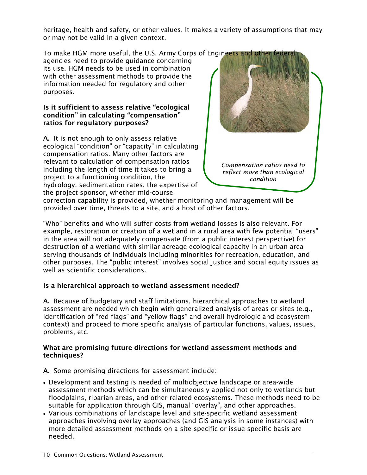heritage, health and safety, or other values. It makes a variety of assumptions that may or may not be valid in a given context.

To make HGM more useful, the U.S. Army Corps of Engineers and other feder

agencies need to provide guidance concerning its use. HGM needs to be used in combination with other assessment methods to provide the information needed for regulatory and other purposes.

#### Is it sufficient to assess relative "ecological condition" in calculating "compensation" ratios for regulatory purposes?

A. It is not enough to only assess relative ecological "condition" or "capacity" in calculating compensation ratios. Many other factors are relevant to calculation of compensation ratios including the length of time it takes to bring a project to a functioning condition, the hydrology, sedimentation rates, the expertise of the project sponsor, whether mid-course



*Compensation ratios need to reflect more than ecological condition*

correction capability is provided, whether monitoring and management will be provided over time, threats to a site, and a host of other factors.

"Who" benefits and who will suffer costs from wetland losses is also relevant. For example, restoration or creation of a wetland in a rural area with few potential "users" in the area will not adequately compensate (from a public interest perspective) for destruction of a wetland with similar acreage ecological capacity in an urban area serving thousands of individuals including minorities for recreation, education, and other purposes. The "public interest" involves social justice and social equity issues as well as scientific considerations.

# Is a hierarchical approach to wetland assessment needed?

A. Because of budgetary and staff limitations, hierarchical approaches to wetland assessment are needed which begin with generalized analysis of areas or sites (e.g., identification of "red flags" and "yellow flags" and overall hydrologic and ecosystem context) and proceed to more specific analysis of particular functions, values, issues, problems, etc.

#### What are promising future directions for wetland assessment methods and techniques?

A. Some promising directions for assessment include:

- Development and testing is needed of multiobjective landscape or area-wide assessment methods which can be simultaneously applied not only to wetlands but floodplains, riparian areas, and other related ecosystems. These methods need to be suitable for application through GIS, manual "overlay", and other approaches.
- Various combinations of landscape level and site-specific wetland assessment approaches involving overlay approaches (and GIS analysis in some instances) with more detailed assessment methods on a site-specific or issue-specific basis are needed.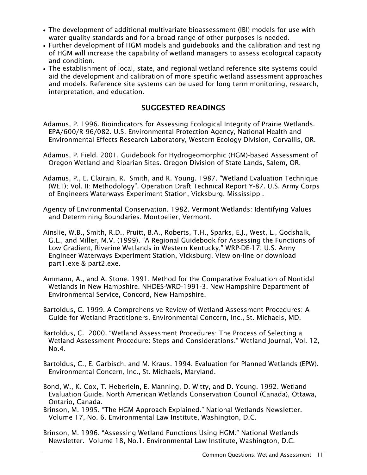- The development of additional multivariate bioassessment (IBI) models for use with water quality standards and for a broad range of other purposes is needed.
- Further development of HGM models and guidebooks and the calibration and testing of HGM will increase the capability of wetland managers to assess ecological capacity and condition.
- The establishment of local, state, and regional wetland reference site systems could aid the development and calibration of more specific wetland assessment approaches and models. Reference site systems can be used for long term monitoring, research, interpretation, and education.

# SUGGESTED READINGS

- Adamus, P. 1996. Bioindicators for Assessing Ecological Integrity of Prairie Wetlands. EPA/600/R-96/082. U.S. Environmental Protection Agency, National Health and Environmental Effects Research Laboratory, Western Ecology Division, Corvallis, OR.
- Adamus, P. Field. 2001. Guidebook for Hydrogeomorphic (HGM)-based Assessment of Oregon Wetland and Riparian Sites. Oregon Division of State Lands, Salem, OR.
- Adamus, P., E. Clairain, R. Smith, and R. Young. 1987. "Wetland Evaluation Technique (WET); Vol. II: Methodology". Operation Draft Technical Report Y-87. U.S. Army Corps of Engineers Waterways Experiment Station, Vicksburg, Mississippi.
- Agency of Environmental Conservation. 1982. Vermont Wetlands: Identifying Values and Determining Boundaries. Montpelier, Vermont.
- Ainslie, W.B., Smith, R.D., Pruitt, B.A., Roberts, T.H., Sparks, E.J., West, L., Godshalk, G.L., and Miller, M.V. (1999). "A Regional Guidebook for Assessing the Functions of Low Gradient, Riverine Wetlands in Western Kentucky," WRP-DE-17, U.S. Army Engineer Waterways Experiment Station, Vicksburg. View on-line or download part1.exe & part2.exe.
- Ammann, A., and A. Stone. 1991. Method for the Comparative Evaluation of Nontidal Wetlands in New Hampshire. NHDES-WRD-1991-3. New Hampshire Department of Environmental Service, Concord, New Hampshire.
- Bartoldus, C. 1999. A Comprehensive Review of Wetland Assessment Procedures: A Guide for Wetland Practitioners. Environmental Concern, Inc., St. Michaels, MD.
- Bartoldus, C. 2000. "Wetland Assessment Procedures: The Process of Selecting a Wetland Assessment Procedure: Steps and Considerations." Wetland Journal, Vol. 12, No.4.
- Bartoldus, C., E. Garbisch, and M. Kraus. 1994. Evaluation for Planned Wetlands (EPW). Environmental Concern, Inc., St. Michaels, Maryland.
- Bond, W., K. Cox, T. Heberlein, E. Manning, D. Witty, and D. Young. 1992. Wetland Evaluation Guide. North American Wetlands Conservation Council (Canada), Ottawa, Ontario, Canada.
- Brinson, M. 1995. "The HGM Approach Explained." National Wetlands Newsletter. Volume 17, No. 6. Environmental Law Institute, Washington, D.C.
- Brinson, M. 1996. "Assessing Wetland Functions Using HGM." National Wetlands Newsletter. Volume 18, No.1. Environmental Law Institute, Washington, D.C.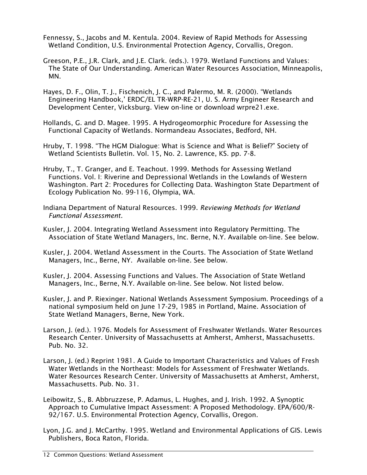- Fennessy, S., Jacobs and M. Kentula. 2004. Review of Rapid Methods for Assessing Wetland Condition, U.S. Environmental Protection Agency, Corvallis, Oregon.
- Greeson, P.E., J.R. Clark, and J.E. Clark. (eds.). 1979. Wetland Functions and Values: The State of Our Understanding. American Water Resources Association, Minneapolis, MN.
- Hayes, D. F., Olin, T. J., Fischenich, J. C., and Palermo, M. R. (2000). "Wetlands Engineering Handbook,' ERDC/EL TR-WRP-RE-21, U. S. Army Engineer Research and Development Center, Vicksburg. View on-line or download wrpre21.exe.
- Hollands, G. and D. Magee. 1995. A Hydrogeomorphic Procedure for Assessing the Functional Capacity of Wetlands. Normandeau Associates, Bedford, NH.
- Hruby, T. 1998. "The HGM Dialogue: What is Science and What is Belief?" Society of Wetland Scientists Bulletin. Vol. 15, No. 2. Lawrence, KS. pp. 7-8.
- Hruby, T., T. Granger, and E. Teachout. 1999. Methods for Assessing Wetland Functions. Vol. I: Riverine and Depressional Wetlands in the Lowlands of Western Washington. Part 2: Procedures for Collecting Data. Washington State Department of Ecology Publication No. 99-116, Olympia, WA.
- Indiana Department of Natural Resources. 1999. *Reviewing Methods for Wetland Functional Assessment.*
- Kusler, J. 2004. Integrating Wetland Assessment into Regulatory Permitting. The Association of State Wetland Managers, Inc. Berne, N.Y. Available on-line. See below.
- Kusler, J. 2004. Wetland Assessment in the Courts. The Association of State Wetland Managers, Inc., Berne, NY. Available on-line. See below.
- Kusler, J. 2004. Assessing Functions and Values. The Association of State Wetland Managers, Inc., Berne, N.Y. Available on-line. See below. Not listed below.
- Kusler, J. and P. Riexinger. National Wetlands Assessment Symposium. Proceedings of a national symposium held on June 17-29, 1985 in Portland, Maine. Association of State Wetland Managers, Berne, New York.
- Larson, J. (ed.). 1976. Models for Assessment of Freshwater Wetlands. Water Resources Research Center. University of Massachusetts at Amherst, Amherst, Massachusetts. Pub. No. 32.
- Larson, J. (ed.) Reprint 1981. A Guide to Important Characteristics and Values of Fresh Water Wetlands in the Northeast: Models for Assessment of Freshwater Wetlands. Water Resources Research Center. University of Massachusetts at Amherst, Amherst, Massachusetts. Pub. No. 31.
- Leibowitz, S., B. Abbruzzese, P. Adamus, L. Hughes, and J. Irish. 1992. A Synoptic Approach to Cumulative Impact Assessment: A Proposed Methodology. EPA/600/R-92/167. U.S. Environmental Protection Agency, Corvallis, Oregon.
- Lyon, J.G. and J. McCarthy. 1995. Wetland and Environmental Applications of GIS. Lewis Publishers, Boca Raton, Florida.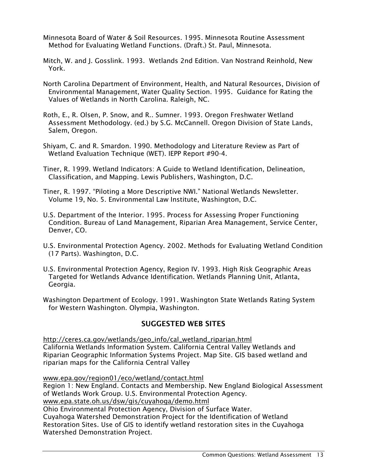- Minnesota Board of Water & Soil Resources. 1995. Minnesota Routine Assessment Method for Evaluating Wetland Functions. (Draft.) St. Paul, Minnesota.
- Mitch, W. and J. Gosslink. 1993. Wetlands 2nd Edition. Van Nostrand Reinhold, New York.
- North Carolina Department of Environment, Health, and Natural Resources, Division of Environmental Management, Water Quality Section. 1995. Guidance for Rating the Values of Wetlands in North Carolina. Raleigh, NC.
- Roth, E., R. Olsen, P. Snow, and R.. Sumner. 1993. Oregon Freshwater Wetland Assessment Methodology. (ed.) by S.G. McCannell. Oregon Division of State Lands, Salem, Oregon.
- Shiyam, C. and R. Smardon. 1990. Methodology and Literature Review as Part of Wetland Evaluation Technique (WET). IEPP Report #90-4.
- Tiner, R. 1999. Wetland Indicators: A Guide to Wetland Identification, Delineation, Classification, and Mapping. Lewis Publishers, Washington, D.C.
- Tiner, R. 1997. "Piloting a More Descriptive NWI." National Wetlands Newsletter. Volume 19, No. 5. Environmental Law Institute, Washington, D.C.
- U.S. Department of the Interior. 1995. Process for Assessing Proper Functioning Condition. Bureau of Land Management, Riparian Area Management, Service Center, Denver, CO.
- U.S. Environmental Protection Agency. 2002. Methods for Evaluating Wetland Condition (17 Parts). Washington, D.C.
- U.S. Environmental Protection Agency, Region IV. 1993. High Risk Geographic Areas Targeted for Wetlands Advance Identification. Wetlands Planning Unit, Atlanta, Georgia.
- Washington Department of Ecology. 1991. Washington State Wetlands Rating System for Western Washington. Olympia, Washington.

# SUGGESTED WEB SITES

http://ceres.ca.gov/wetlands/geo\_info/cal\_wetland\_riparian.html California Wetlands Information System. California Central Valley Wetlands and Riparian Geographic Information Systems Project. Map Site. GIS based wetland and riparian maps for the California Central Valley

www.epa.gov/region01/eco/wetland/contact.html Region 1: New England. Contacts and Membership. New England Biological Assessment of Wetlands Work Group. U.S. Environmental Protection Agency. www.epa.state.oh.us/dsw/gis/cuyahoga/demo.html

Ohio Environmental Protection Agency, Division of Surface Water. Cuyahoga Watershed Demonstration Project for the Identification of Wetland Restoration Sites. Use of GIS to identify wetland restoration sites in the Cuyahoga Watershed Demonstration Project.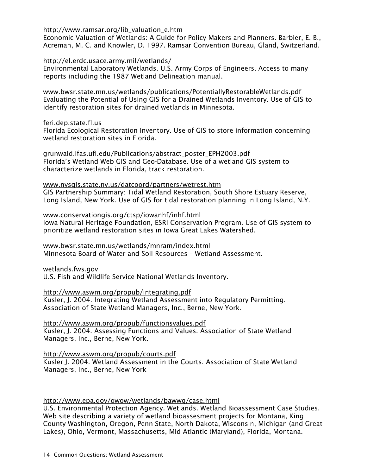#### http://www.ramsar.org/lib\_valuation\_e.htm

Economic Valuation of Wetlands: A Guide for Policy Makers and Planners. Barbier, E. B., Acreman, M. C. and Knowler, D. 1997. Ramsar Convention Bureau, Gland, Switzerland.

#### http://el.erdc.usace.army.mil/wetlands/

Environmental Laboratory Wetlands. U.S. Army Corps of Engineers. Access to many reports including the 1987 Wetland Delineation manual.

www.bwsr.state.mn.us/wetlands/publications/PotentiallyRestorableWetlands.pdf Evaluating the Potential of Using GIS for a Drained Wetlands Inventory. Use of GIS to identify restoration sites for drained wetlands in Minnesota.

#### feri.dep.state.fl.us

Florida Ecological Restoration Inventory. Use of GIS to store information concerning wetland restoration sites in Florida.

grunwald.ifas.ufl.edu/Publications/abstract\_poster\_EPH2003.pdf Florida's Wetland Web GIS and Geo-Database. Use of a wetland GIS system to characterize wetlands in Florida, track restoration.

# www.nysgis.state.ny.us/datcoord/partners/wetrest.htm

GIS Partnership Summary: Tidal Wetland Restoration, South Shore Estuary Reserve, Long Island, New York. Use of GIS for tidal restoration planning in Long Island, N.Y.

#### www.conservationgis.org/ctsp/iowanhf/inhf.html

Iowa Natural Heritage Foundation, ESRI Conservation Program. Use of GIS system to prioritize wetland restoration sites in Iowa Great Lakes Watershed.

#### www.bwsr.state.mn.us/wetlands/mnram/index.html Minnesota Board of Water and Soil Resources – Wetland Assessment.

wetlands.fws.gov

U.S. Fish and Wildlife Service National Wetlands Inventory.

# http://www.aswm.org/propub/integrating.pdf

Kusler, J. 2004. Integrating Wetland Assessment into Regulatory Permitting. Association of State Wetland Managers, Inc., Berne, New York.

# http://www.aswm.org/propub/functionsvalues.pdf

Kusler, J. 2004. Assessing Functions and Values. Association of State Wetland Managers, Inc., Berne, New York.

# http://www.aswm.org/propub/courts.pdf

Kusler J. 2004. Wetland Assessment in the Courts. Association of State Wetland Managers, Inc., Berne, New York

# http://www.epa.gov/owow/wetlands/bawwg/case.html

U.S. Environmental Protection Agency. Wetlands. Wetland Bioassessment Case Studies. Web site describing a variety of wetland bioassesment projects for Montana, King County Washington, Oregon, Penn State, North Dakota, Wisconsin, Michigan (and Great Lakes), Ohio, Vermont, Massachusetts, Mid Atlantic (Maryland), Florida, Montana.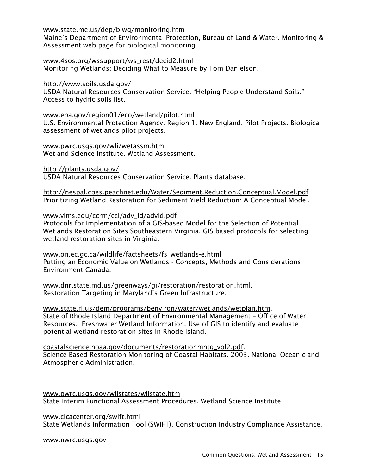#### www.state.me.us/dep/blwq/monitoring.htm

Maine's Department of Environmental Protection, Bureau of Land & Water. Monitoring & Assessment web page for biological monitoring.

www.4sos.org/wssupport/ws\_rest/decid2.html Monitoring Wetlands: Deciding What to Measure by Tom Danielson.

#### http://www.soils.usda.gov/

USDA Natural Resources Conservation Service. "Helping People Understand Soils." Access to hydric soils list.

#### www.epa.gov/region01/eco/wetland/pilot.html

U.S. Environmental Protection Agency. Region 1: New England. Pilot Projects. Biological assessment of wetlands pilot projects.

www.pwrc.usgs.gov/wli/wetassm.htm. Wetland Science Institute. Wetland Assessment.

http://plants.usda.gov/

USDA Natural Resources Conservation Service. Plants database.

http://nespal.cpes.peachnet.edu/Water/Sediment.Reduction.Conceptual.Model.pdf Prioritizing Wetland Restoration for Sediment Yield Reduction: A Conceptual Model.

#### www.vims.edu/ccrm/cci/adv\_id/advid.pdf

Protocols for Implementation of a GIS-based Model for the Selection of Potential Wetlands Restoration Sites Southeastern Virginia. GIS based protocols for selecting wetland restoration sites in Virginia.

www.on.ec.gc.ca/wildlife/factsheets/fs\_wetlands-e.html Putting an Economic Value on Wetlands - Concepts, Methods and Considerations. Environment Canada.

www.dnr.state.md.us/greenways/gi/restoration/restoration.html. Restoration Targeting in Maryland's Green Infrastructure.

www.state.ri.us/dem/programs/benviron/water/wetlands/wetplan.htm. State of Rhode Island Department of Environmental Management – Office of Water Resources. Freshwater Wetland Information. Use of GIS to identify and evaluate potential wetland restoration sites in Rhode Island.

coastalscience.noaa.gov/documents/restorationmntg\_vol2.pdf. Science-Based Restoration Monitoring of Coastal Habitats. 2003. National Oceanic and Atmospheric Administration.

www.pwrc.usgs.gov/wlistates/wlistate.htm State Interim Functional Assessment Procedures. Wetland Science Institute

www.cicacenter.org/swift.html State Wetlands Information Tool (SWIFT). Construction Industry Compliance Assistance.

#### www.nwrc.usgs.gov